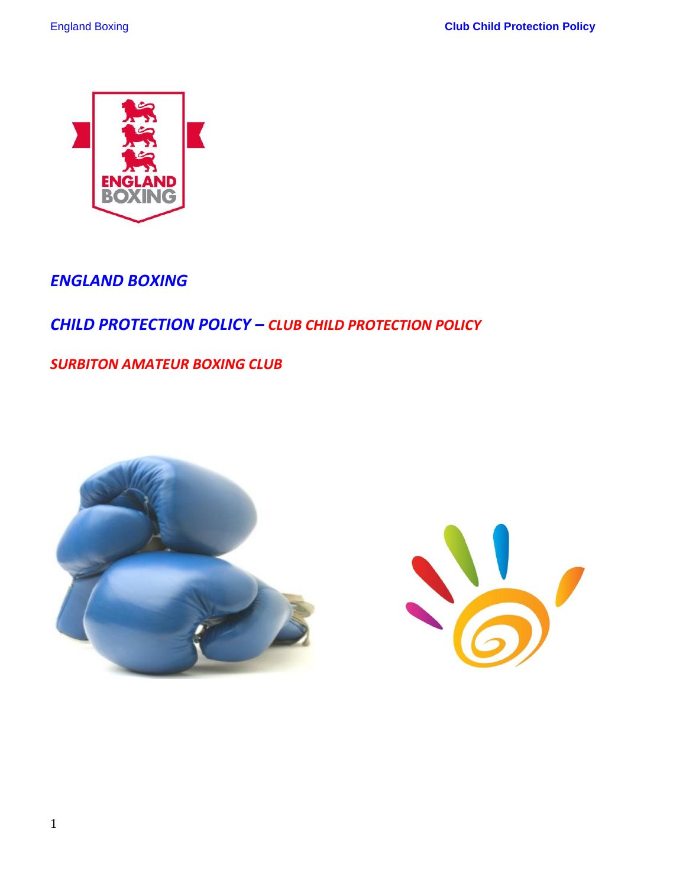

# *ENGLAND BOXING*

# *CHILD PROTECTION POLICY – CLUB CHILD PROTECTION POLICY*

*SURBITON AMATEUR BOXING CLUB*



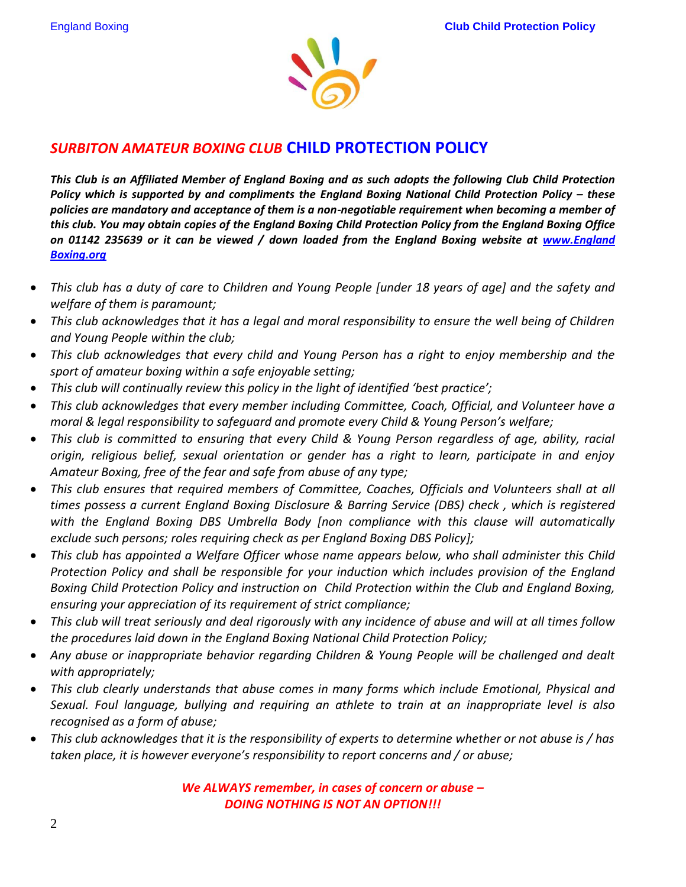

## *SURBITON AMATEUR BOXING CLUB* **CHILD PROTECTION POLICY**

*This Club is an Affiliated Member of England Boxing and as such adopts the following Club Child Protection Policy which is supported by and compliments the England Boxing National Child Protection Policy – these policies are mandatory and acceptance of them is a non-negotiable requirement when becoming a member of this club. You may obtain copies of the England Boxing Child Protection Policy from the England Boxing Office on 01142 235639 or it can be viewed / down loaded from the England Boxing website at [www.England](http://www.abae.org/)  [Boxing.org](http://www.abae.org/)*

- *This club has a duty of care to Children and Young People [under 18 years of age] and the safety and welfare of them is paramount;*
- *This club acknowledges that it has a legal and moral responsibility to ensure the well being of Children and Young People within the club;*
- *This club acknowledges that every child and Young Person has a right to enjoy membership and the sport of amateur boxing within a safe enjoyable setting;*
- *This club will continually review this policy in the light of identified 'best practice';*
- *This club acknowledges that every member including Committee, Coach, Official, and Volunteer have a moral & legal responsibility to safeguard and promote every Child & Young Person's welfare;*
- *This club is committed to ensuring that every Child & Young Person regardless of age, ability, racial origin, religious belief, sexual orientation or gender has a right to learn, participate in and enjoy Amateur Boxing, free of the fear and safe from abuse of any type;*
- *This club ensures that required members of Committee, Coaches, Officials and Volunteers shall at all times possess a current England Boxing Disclosure & Barring Service (DBS) check , which is registered with the England Boxing DBS Umbrella Body [non compliance with this clause will automatically exclude such persons; roles requiring check as per England Boxing DBS Policy];*
- *This club has appointed a Welfare Officer whose name appears below, who shall administer this Child Protection Policy and shall be responsible for your induction which includes provision of the England Boxing Child Protection Policy and instruction on Child Protection within the Club and England Boxing, ensuring your appreciation of its requirement of strict compliance;*
- *This club will treat seriously and deal rigorously with any incidence of abuse and will at all times follow the procedures laid down in the England Boxing National Child Protection Policy;*
- *Any abuse or inappropriate behavior regarding Children & Young People will be challenged and dealt with appropriately;*
- *This club clearly understands that abuse comes in many forms which include Emotional, Physical and Sexual. Foul language, bullying and requiring an athlete to train at an inappropriate level is also recognised as a form of abuse;*
- *This club acknowledges that it is the responsibility of experts to determine whether or not abuse is / has taken place, it is however everyone's responsibility to report concerns and / or abuse;*

*We ALWAYS remember, in cases of concern or abuse – DOING NOTHING IS NOT AN OPTION!!!*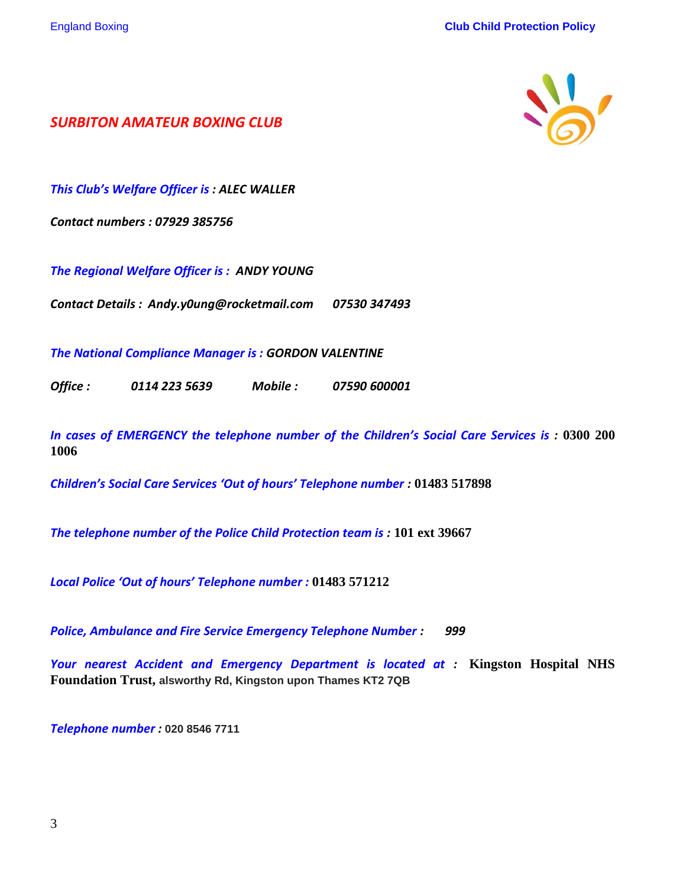

*SURBITON AMATEUR BOXING CLUB*

*This Club's Welfare Officer is : ALEC WALLER*

*Contact numbers : 07929 385756*

*The Regional Welfare Officer is : ANDY YOUNG*

*Contact Details : Andy.y0ung@rocketmail.com 07530 347493*

*The National Compliance Manager is : GORDON VALENTINE*

*Office : 0114 223 5639 Mobile : 07590 600001*

*In cases of EMERGENCY the telephone number of the Children's Social Care Services is :* **0300 200 1006**

*Children's Social Care Services 'Out of hours' Telephone number :* **01483 517898**

*The telephone number of the Police Child Protection team is :* **101 ext 39667**

*Local Police 'Out of hours' Telephone number :* **01483 571212**

*Police, Ambulance and Fire Service Emergency Telephone Number : 999*

*Your nearest Accident and Emergency Department is located at :* **Kingston Hospital NHS Foundation Trust, alsworthy Rd, Kingston upon Thames KT2 7QB**

*Telephone number :* **020 8546 7711**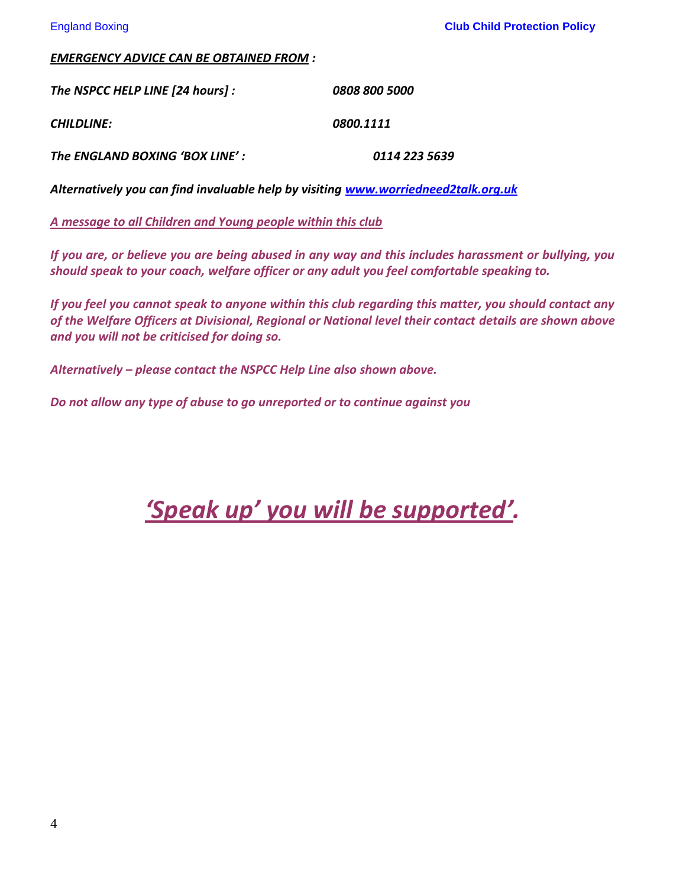#### *EMERGENCY ADVICE CAN BE OBTAINED FROM :*

*The NSPCC HELP LINE [24 hours] : 0808 800 5000 CHILDLINE: 0800.1111 The ENGLAND BOXING 'BOX LINE' : 0114 223 5639*

*Alternatively you can find invaluable help by visiting [www.worriedneed2talk.org.uk](http://www.worriedneed2talk.org.uk/)*

*A message to all Children and Young people within this club*

*If you are, or believe you are being abused in any way and this includes harassment or bullying, you should speak to your coach, welfare officer or any adult you feel comfortable speaking to.* 

*If you feel you cannot speak to anyone within this club regarding this matter, you should contact any of the Welfare Officers at Divisional, Regional or National level their contact details are shown above and you will not be criticised for doing so.*

*Alternatively – please contact the NSPCC Help Line also shown above.*

*Do not allow any type of abuse to go unreported or to continue against you* 

*'Speak up' you will be supported'.*